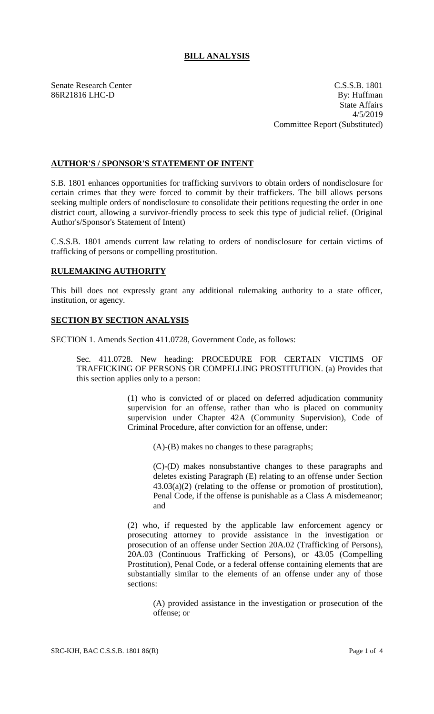## **BILL ANALYSIS**

Senate Research Center C.S.S.B. 1801 86R21816 LHC-D By: Huffman State Affairs 4/5/2019 Committee Report (Substituted)

## **AUTHOR'S / SPONSOR'S STATEMENT OF INTENT**

S.B. 1801 enhances opportunities for trafficking survivors to obtain orders of nondisclosure for certain crimes that they were forced to commit by their traffickers. The bill allows persons seeking multiple orders of nondisclosure to consolidate their petitions requesting the order in one district court, allowing a survivor-friendly process to seek this type of judicial relief. (Original Author's/Sponsor's Statement of Intent)

C.S.S.B. 1801 amends current law relating to orders of nondisclosure for certain victims of trafficking of persons or compelling prostitution.

## **RULEMAKING AUTHORITY**

This bill does not expressly grant any additional rulemaking authority to a state officer, institution, or agency.

## **SECTION BY SECTION ANALYSIS**

SECTION 1. Amends Section 411.0728, Government Code, as follows:

Sec. 411.0728. New heading: PROCEDURE FOR CERTAIN VICTIMS OF TRAFFICKING OF PERSONS OR COMPELLING PROSTITUTION. (a) Provides that this section applies only to a person:

> (1) who is convicted of or placed on deferred adjudication community supervision for an offense, rather than who is placed on community supervision under Chapter 42A (Community Supervision), Code of Criminal Procedure, after conviction for an offense, under:

(A)-(B) makes no changes to these paragraphs;

(C)-(D) makes nonsubstantive changes to these paragraphs and deletes existing Paragraph (E) relating to an offense under Section 43.03(a)(2) (relating to the offense or promotion of prostitution), Penal Code, if the offense is punishable as a Class A misdemeanor; and

(2) who, if requested by the applicable law enforcement agency or prosecuting attorney to provide assistance in the investigation or prosecution of an offense under Section 20A.02 (Trafficking of Persons), 20A.03 (Continuous Trafficking of Persons), or 43.05 (Compelling Prostitution), Penal Code, or a federal offense containing elements that are substantially similar to the elements of an offense under any of those sections:

(A) provided assistance in the investigation or prosecution of the offense; or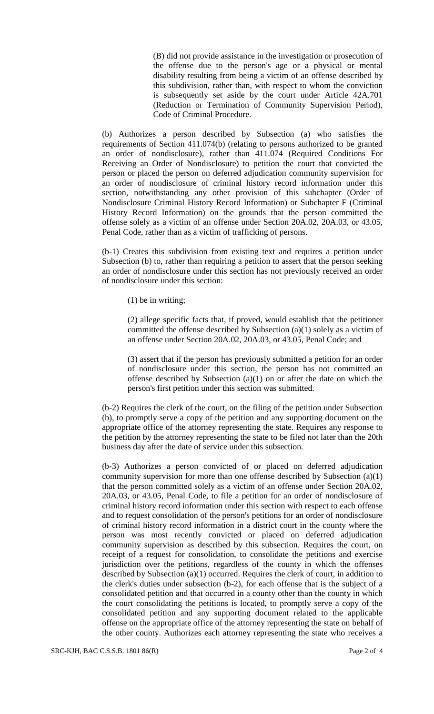(B) did not provide assistance in the investigation or prosecution of the offense due to the person's age or a physical or mental disability resulting from being a victim of an offense described by this subdivision, rather than, with respect to whom the conviction is subsequently set aside by the court under Article 42A.701 (Reduction or Termination of Community Supervision Period), Code of Criminal Procedure.

(b) Authorizes a person described by Subsection (a) who satisfies the requirements of Section 411.074(b) (relating to persons authorized to be granted an order of nondisclosure), rather than 411.074 (Required Conditions For Receiving an Order of Nondisclosure) to petition the court that convicted the person or placed the person on deferred adjudication community supervision for an order of nondisclosure of criminal history record information under this section, notwithstanding any other provision of this subchapter (Order of Nondisclosure Criminal History Record Information) or Subchapter F (Criminal History Record Information) on the grounds that the person committed the offense solely as a victim of an offense under Section 20A.02, 20A.03, or 43.05, Penal Code, rather than as a victim of trafficking of persons.

(b-1) Creates this subdivision from existing text and requires a petition under Subsection (b) to, rather than requiring a petition to assert that the person seeking an order of nondisclosure under this section has not previously received an order of nondisclosure under this section:

(1) be in writing;

(2) allege specific facts that, if proved, would establish that the petitioner committed the offense described by Subsection (a)(1) solely as a victim of an offense under Section 20A.02, 20A.03, or 43.05, Penal Code; and

(3) assert that if the person has previously submitted a petition for an order of nondisclosure under this section, the person has not committed an offense described by Subsection (a)(1) on or after the date on which the person's first petition under this section was submitted.

(b-2) Requires the clerk of the court, on the filing of the petition under Subsection (b), to promptly serve a copy of the petition and any supporting document on the appropriate office of the attorney representing the state. Requires any response to the petition by the attorney representing the state to be filed not later than the 20th business day after the date of service under this subsection.

(b-3) Authorizes a person convicted of or placed on deferred adjudication community supervision for more than one offense described by Subsection (a)(1) that the person committed solely as a victim of an offense under Section 20A.02, 20A.03, or 43.05, Penal Code, to file a petition for an order of nondisclosure of criminal history record information under this section with respect to each offense and to request consolidation of the person's petitions for an order of nondisclosure of criminal history record information in a district court in the county where the person was most recently convicted or placed on deferred adjudication community supervision as described by this subsection. Requires the court, on receipt of a request for consolidation, to consolidate the petitions and exercise jurisdiction over the petitions, regardless of the county in which the offenses described by Subsection (a)(1) occurred. Requires the clerk of court, in addition to the clerk's duties under subsection (b-2), for each offense that is the subject of a consolidated petition and that occurred in a county other than the county in which the court consolidating the petitions is located, to promptly serve a copy of the consolidated petition and any supporting document related to the applicable offense on the appropriate office of the attorney representing the state on behalf of the other county. Authorizes each attorney representing the state who receives a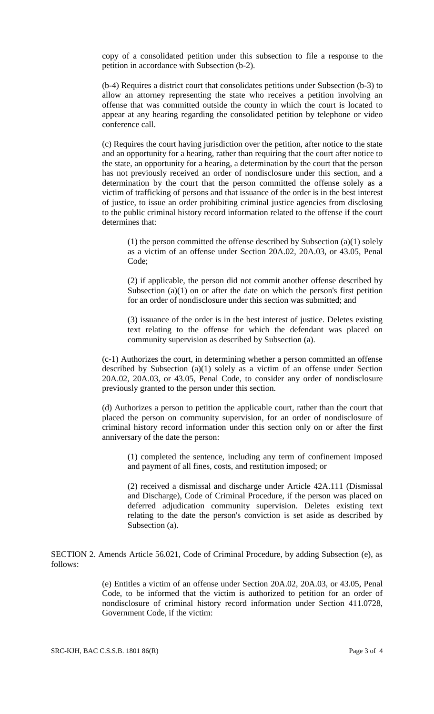copy of a consolidated petition under this subsection to file a response to the petition in accordance with Subsection (b-2).

(b-4) Requires a district court that consolidates petitions under Subsection (b-3) to allow an attorney representing the state who receives a petition involving an offense that was committed outside the county in which the court is located to appear at any hearing regarding the consolidated petition by telephone or video conference call.

(c) Requires the court having jurisdiction over the petition, after notice to the state and an opportunity for a hearing, rather than requiring that the court after notice to the state, an opportunity for a hearing, a determination by the court that the person has not previously received an order of nondisclosure under this section, and a determination by the court that the person committed the offense solely as a victim of trafficking of persons and that issuance of the order is in the best interest of justice, to issue an order prohibiting criminal justice agencies from disclosing to the public criminal history record information related to the offense if the court determines that:

(1) the person committed the offense described by Subsection (a)(1) solely as a victim of an offense under Section 20A.02, 20A.03, or 43.05, Penal Code;

(2) if applicable, the person did not commit another offense described by Subsection  $(a)(1)$  on or after the date on which the person's first petition for an order of nondisclosure under this section was submitted; and

(3) issuance of the order is in the best interest of justice. Deletes existing text relating to the offense for which the defendant was placed on community supervision as described by Subsection (a).

(c-1) Authorizes the court, in determining whether a person committed an offense described by Subsection (a)(1) solely as a victim of an offense under Section 20A.02, 20A.03, or 43.05, Penal Code, to consider any order of nondisclosure previously granted to the person under this section.

(d) Authorizes a person to petition the applicable court, rather than the court that placed the person on community supervision, for an order of nondisclosure of criminal history record information under this section only on or after the first anniversary of the date the person:

(1) completed the sentence, including any term of confinement imposed and payment of all fines, costs, and restitution imposed; or

(2) received a dismissal and discharge under Article 42A.111 (Dismissal and Discharge), Code of Criminal Procedure, if the person was placed on deferred adjudication community supervision. Deletes existing text relating to the date the person's conviction is set aside as described by Subsection (a).

SECTION 2. Amends Article 56.021, Code of Criminal Procedure, by adding Subsection (e), as follows:

> (e) Entitles a victim of an offense under Section 20A.02, 20A.03, or 43.05, Penal Code, to be informed that the victim is authorized to petition for an order of nondisclosure of criminal history record information under Section 411.0728, Government Code, if the victim: